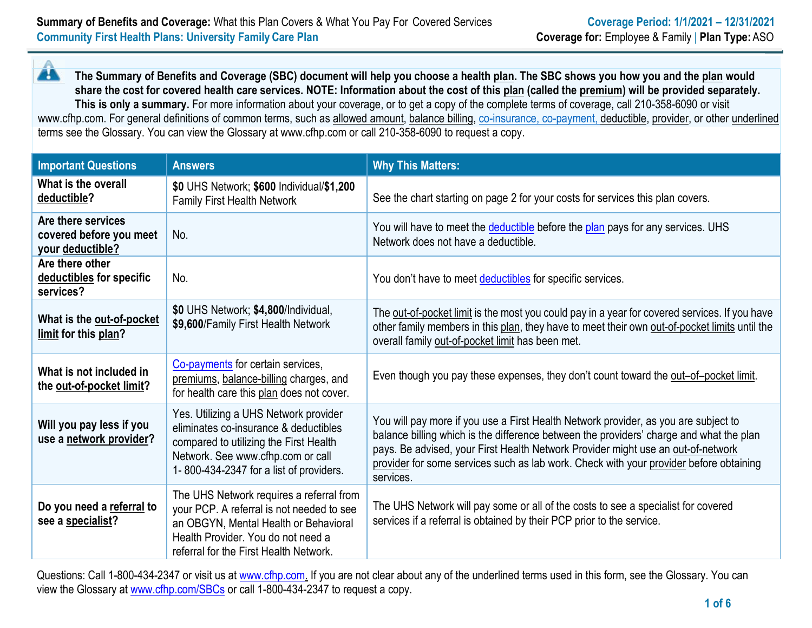Â **The Summary of Benefits and Coverage (SBC) document will help you choose a health [plan.](https://www.healthcare.gov/sbc-glossary/#plan) The SBC shows you how you and th[e plan](https://www.healthcare.gov/sbc-glossary/#plan) would share the cost for covered health care services. NOTE: Information about the cost of this [plan](https://www.healthcare.gov/sbc-glossary/#plan) (called the [premium\)](https://www.healthcare.gov/sbc-glossary/#premium) will be provided separately. This is only a summary.** For more information about your coverage, or to get a copy of the complete terms of coverage, call 210-358-6090 or visit [www.cfhp.com.](http://www.cfhp.com/) For general definitions of common terms, such a[s allowed amount,](https://www.healthcare.gov/sbc-glossary/#allowed-amount) [balance billing, c](https://www.healthcare.gov/sbc-glossary/#balance-billing)o-insurance, co-payment[, deductible,](https://www.healthcare.gov/sbc-glossary/#deductible) [provider, o](https://www.healthcare.gov/sbc-glossary/#provider)r other underlined terms see the Glossary. You can view the Glossary at [www.cfhp.com o](http://www.cfhp.com/)r call 210-358-6090 to request a copy.

| <b>Important Questions</b>                                        | <b>Answers</b>                                                                                                                                                                                                 | <b>Why This Matters:</b>                                                                                                                                                                                                                                                                                                                                                  |
|-------------------------------------------------------------------|----------------------------------------------------------------------------------------------------------------------------------------------------------------------------------------------------------------|---------------------------------------------------------------------------------------------------------------------------------------------------------------------------------------------------------------------------------------------------------------------------------------------------------------------------------------------------------------------------|
| What is the overall<br>deductible?                                | \$0 UHS Network; \$600 Individual/\$1,200<br><b>Family First Health Network</b>                                                                                                                                | See the chart starting on page 2 for your costs for services this plan covers.                                                                                                                                                                                                                                                                                            |
| Are there services<br>covered before you meet<br>your deductible? | No.                                                                                                                                                                                                            | You will have to meet the deductible before the plan pays for any services. UHS<br>Network does not have a deductible.                                                                                                                                                                                                                                                    |
| Are there other<br>deductibles for specific<br>services?          | No.                                                                                                                                                                                                            | You don't have to meet deductibles for specific services.                                                                                                                                                                                                                                                                                                                 |
| What is the out-of-pocket<br>limit for this plan?                 | \$0 UHS Network; \$4,800/Individual,<br>\$9,600/Family First Health Network                                                                                                                                    | The out-of-pocket limit is the most you could pay in a year for covered services. If you have<br>other family members in this plan, they have to meet their own out-of-pocket limits until the<br>overall family out-of-pocket limit has been met.                                                                                                                        |
| What is not included in<br>the out-of-pocket limit?               | Co-payments for certain services,<br>premiums, balance-billing charges, and<br>for health care this plan does not cover.                                                                                       | Even though you pay these expenses, they don't count toward the out-of-pocket limit.                                                                                                                                                                                                                                                                                      |
| Will you pay less if you<br>use a network provider?               | Yes. Utilizing a UHS Network provider<br>eliminates co-insurance & deductibles<br>compared to utilizing the First Health<br>Network. See www.cfhp.com or call<br>1-800-434-2347 for a list of providers.       | You will pay more if you use a First Health Network provider, as you are subject to<br>balance billing which is the difference between the providers' charge and what the plan<br>pays. Be advised, your First Health Network Provider might use an out-of-network<br>provider for some services such as lab work. Check with your provider before obtaining<br>services. |
| Do you need a referral to<br>see a specialist?                    | The UHS Network requires a referral from<br>your PCP. A referral is not needed to see<br>an OBGYN, Mental Health or Behavioral<br>Health Provider. You do not need a<br>referral for the First Health Network. | The UHS Network will pay some or all of the costs to see a specialist for covered<br>services if a referral is obtained by their PCP prior to the service.                                                                                                                                                                                                                |

Questions: Call 1-800-434-2347 or visit us at [www.cfhp.com. I](http://www.cfhp.com/)f you are not clear about any of the underlined terms used in this form, see the Glossary. You can view the Glossary at [www.cfhp.com/SBCs](http://www.cfhp.com/SBCs) or call 1-800-434-2347 to request a copy.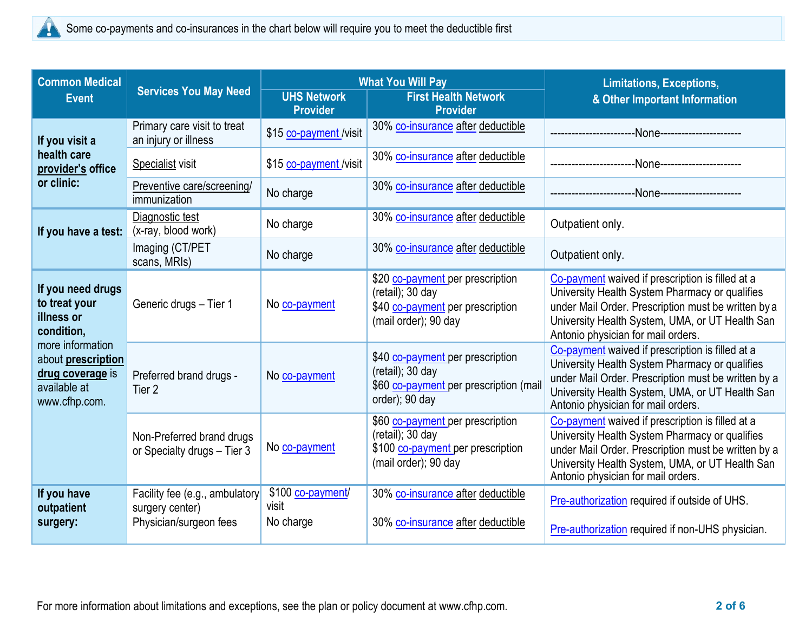

| <b>Common Medical</b>                                                                       |                                                                             | <b>What You Will Pay</b>                |                                                                                                                     | <b>Limitations, Exceptions,</b>                                                                                                                                                                                                                    |  |
|---------------------------------------------------------------------------------------------|-----------------------------------------------------------------------------|-----------------------------------------|---------------------------------------------------------------------------------------------------------------------|----------------------------------------------------------------------------------------------------------------------------------------------------------------------------------------------------------------------------------------------------|--|
| <b>Event</b>                                                                                | <b>Services You May Need</b>                                                | <b>UHS Network</b><br><b>Provider</b>   | <b>First Health Network</b><br><b>Provider</b>                                                                      | & Other Important Information                                                                                                                                                                                                                      |  |
| If you visit a                                                                              | Primary care visit to treat<br>an injury or illness                         | \$15 co-payment /visit                  | 30% co-insurance after deductible                                                                                   |                                                                                                                                                                                                                                                    |  |
| health care<br>provider's office                                                            | Specialist visit                                                            | \$15 co-payment /visit                  | 30% co-insurance after deductible                                                                                   | --None-----------------------                                                                                                                                                                                                                      |  |
| or clinic:                                                                                  | Preventive care/screening/<br>immunization                                  | No charge                               | 30% co-insurance after deductible                                                                                   |                                                                                                                                                                                                                                                    |  |
| If you have a test:                                                                         | Diagnostic test<br>(x-ray, blood work)                                      | No charge                               | 30% co-insurance after deductible                                                                                   | Outpatient only.                                                                                                                                                                                                                                   |  |
|                                                                                             | Imaging (CT/PET<br>scans, MRIs)                                             | No charge                               | 30% co-insurance after deductible                                                                                   | Outpatient only.                                                                                                                                                                                                                                   |  |
| If you need drugs<br>to treat your<br>illness or<br>condition,                              | Generic drugs - Tier 1                                                      | No co-payment                           | \$20 co-payment per prescription<br>$(retail);$ 30 day<br>\$40 co-payment per prescription<br>(mail order); 90 day  | Co-payment waived if prescription is filled at a<br>University Health System Pharmacy or qualifies<br>under Mail Order. Prescription must be written by a<br>University Health System, UMA, or UT Health San<br>Antonio physician for mail orders. |  |
| more information<br>about prescription<br>drug coverage is<br>available at<br>www.cfhp.com. | Preferred brand drugs -<br>Tier <sub>2</sub>                                | No co-payment                           | \$40 co-payment per prescription<br>(retail); 30 day<br>\$60 co-payment per prescription (mail<br>order); 90 day    | Co-payment waived if prescription is filled at a<br>University Health System Pharmacy or qualifies<br>under Mail Order. Prescription must be written by a<br>University Health System, UMA, or UT Health San<br>Antonio physician for mail orders. |  |
|                                                                                             | Non-Preferred brand drugs<br>or Specialty drugs - Tier 3                    | No co-payment                           | \$60 co-payment per prescription<br>$(retail);$ 30 day<br>\$100 co-payment per prescription<br>(mail order); 90 day | Co-payment waived if prescription is filled at a<br>University Health System Pharmacy or qualifies<br>under Mail Order. Prescription must be written by a<br>University Health System, UMA, or UT Health San<br>Antonio physician for mail orders. |  |
| If you have<br>outpatient<br>surgery:                                                       | Facility fee (e.g., ambulatory<br>surgery center)<br>Physician/surgeon fees | \$100 co-payment/<br>visit<br>No charge | 30% co-insurance after deductible<br>30% co-insurance after deductible                                              | Pre-authorization required if outside of UHS.<br>Pre-authorization required if non-UHS physician.                                                                                                                                                  |  |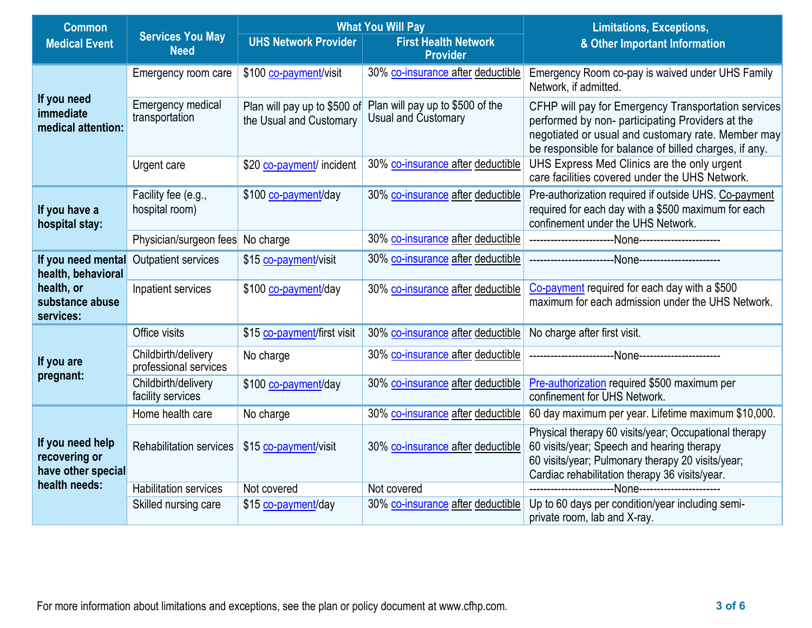| <b>Common</b>                                           |                                              | <b>What You Will Pay</b>                                |                                                         | <b>Limitations, Exceptions,</b>                                                                                                                                                                                        |  |
|---------------------------------------------------------|----------------------------------------------|---------------------------------------------------------|---------------------------------------------------------|------------------------------------------------------------------------------------------------------------------------------------------------------------------------------------------------------------------------|--|
| <b>Medical Event</b>                                    | <b>Services You May</b><br><b>Need</b>       | <b>UHS Network Provider</b>                             | <b>First Health Network</b><br><b>Provider</b>          | & Other Important Information                                                                                                                                                                                          |  |
|                                                         | Emergency room care                          | \$100 co-payment/visit                                  | 30% co-insurance after deductible                       | Emergency Room co-pay is waived under UHS Family<br>Network, if admitted.                                                                                                                                              |  |
| If you need<br>immediate<br>medical attention:          | Emergency medical<br>transportation          | Plan will pay up to \$500 of<br>the Usual and Customary | Plan will pay up to \$500 of the<br>Usual and Customary | CFHP will pay for Emergency Transportation services<br>performed by non- participating Providers at the<br>negotiated or usual and customary rate. Member may<br>be responsible for balance of billed charges, if any. |  |
|                                                         | Urgent care                                  | \$20 co-payment/ incident                               | 30% co-insurance after deductible                       | UHS Express Med Clinics are the only urgent<br>care facilities covered under the UHS Network.                                                                                                                          |  |
| If you have a<br>hospital stay:                         | Facility fee (e.g.,<br>hospital room)        | \$100 co-payment/day                                    | 30% co-insurance after deductible                       | Pre-authorization required if outside UHS. Co-payment<br>required for each day with a \$500 maximum for each<br>confinement under the UHS Network.                                                                     |  |
|                                                         | Physician/surgeon fees                       | No charge                                               | 30% co-insurance after deductible                       |                                                                                                                                                                                                                        |  |
| If you need mental<br>health, behavioral                | Outpatient services                          | \$15 co-payment/visit                                   | 30% co-insurance after deductible                       |                                                                                                                                                                                                                        |  |
| health, or<br>substance abuse<br>services:              | Inpatient services                           | \$100 co-payment/day                                    | 30% co-insurance after deductible                       | Co-payment required for each day with a \$500<br>maximum for each admission under the UHS Network.                                                                                                                     |  |
|                                                         | Office visits                                | \$15 co-payment/first visit                             | 30% co-insurance after deductible                       | No charge after first visit.                                                                                                                                                                                           |  |
| If you are                                              | Childbirth/delivery<br>professional services | No charge                                               | 30% co-insurance after deductible                       |                                                                                                                                                                                                                        |  |
| pregnant:                                               | Childbirth/delivery<br>facility services     | \$100 co-payment/day                                    | 30% co-insurance after deductible                       | Pre-authorization required \$500 maximum per<br>confinement for UHS Network.                                                                                                                                           |  |
|                                                         | Home health care                             | No charge                                               | 30% co-insurance after deductible                       | 60 day maximum per year. Lifetime maximum \$10,000.                                                                                                                                                                    |  |
| If you need help<br>recovering or<br>have other special | <b>Rehabilitation services</b>               | \$15 co-payment/visit                                   | 30% co-insurance after deductible                       | Physical therapy 60 visits/year; Occupational therapy<br>60 visits/year; Speech and hearing therapy<br>60 visits/year; Pulmonary therapy 20 visits/year;<br>Cardiac rehabilitation therapy 36 visits/year.             |  |
| health needs:                                           | <b>Habilitation services</b>                 | Not covered                                             | Not covered                                             |                                                                                                                                                                                                                        |  |
|                                                         | Skilled nursing care                         | \$15 co-payment/day                                     | 30% co-insurance after deductible                       | Up to 60 days per condition/year including semi-<br>private room, lab and X-ray.                                                                                                                                       |  |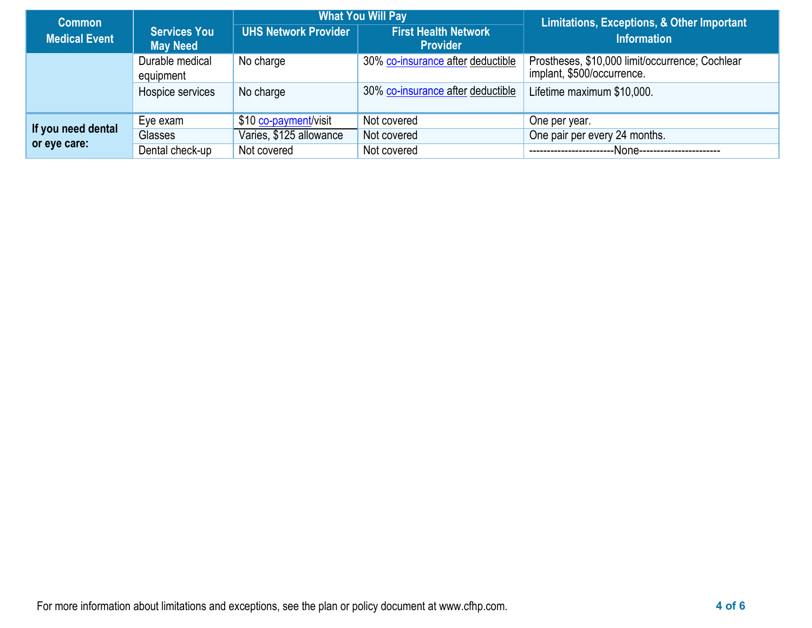| <b>Common</b>        |                                        |                                                                               | <b>What You Will Pay</b>          | Limitations, Exceptions, & Other Important                                    |  |
|----------------------|----------------------------------------|-------------------------------------------------------------------------------|-----------------------------------|-------------------------------------------------------------------------------|--|
| <b>Medical Event</b> | <b>Services You</b><br><b>May Need</b> | <b>First Health Network</b><br><b>UHS Network Provider</b><br><b>Provider</b> |                                   | Information                                                                   |  |
|                      | Durable medical<br>equipment           | No charge                                                                     | 30% co-insurance after deductible | Prostheses, \$10,000 limit/occurrence; Cochlear<br>implant, \$500/occurrence. |  |
|                      | Hospice services                       | No charge                                                                     | 30% co-insurance after deductible | Lifetime maximum \$10,000.                                                    |  |
|                      | Eye exam                               | \$10 co-payment/visit                                                         | Not covered                       | One per year.                                                                 |  |
| If you need dental   | Glasses                                | Varies, \$125 allowance                                                       | Not covered                       | One pair per every 24 months.                                                 |  |
| or eye care:         | Dental check-up                        | Not covered                                                                   | Not covered                       | --None-----                                                                   |  |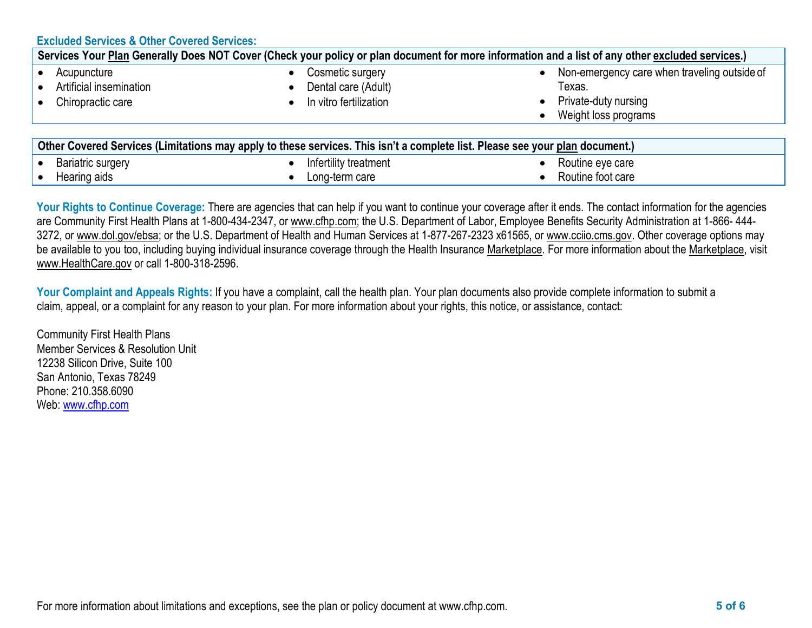| <b>Excluded Services &amp; Other Covered Services:</b>                                                                                           |                                                                   |                                                                                                        |  |  |
|--------------------------------------------------------------------------------------------------------------------------------------------------|-------------------------------------------------------------------|--------------------------------------------------------------------------------------------------------|--|--|
| Services Your Plan Generally Does NOT Cover (Check your policy or plan document for more information and a list of any other excluded services.) |                                                                   |                                                                                                        |  |  |
| Acupuncture<br>Artificial insemination<br>Chiropractic care                                                                                      | Cosmetic surgery<br>Dental care (Adult)<br>In vitro fertilization | Non-emergency care when traveling outside of<br>Texas.<br>Private-duty nursing<br>Weight loss programs |  |  |
| Other Covered Services (Limitations may apply to these services. This isn't a complete list. Please see your plan document.)                     |                                                                   |                                                                                                        |  |  |
| <b>Bariatric surgery</b>                                                                                                                         | Infertility treatment                                             | Routine eye care                                                                                       |  |  |

Your Rights to Continue Coverage: There are agencies that can help if you want to continue your coverage after it ends. The contact information for the agencies are Community First Health Plans at 1-800-434-2347, or www.cfhp.com; the U.S. Department of Labor, Employee Benefits Security Administration at 1-866-444-3272, or [www.dol.gov/ebsa; o](http://www.dol.gov/ebsa)r the U.S. Department of Health and Human Services at 1-877-267-2323 x61565, or [www.cciio.cms.gov. O](http://www.cciio.cms.gov/)ther coverage options may be available to you too, including buying individual insurance coverage through the Health Insurance [Marketplace. F](https://www.healthcare.gov/sbc-glossary/#marketplace)or more information about the [Marketplace,](https://www.healthcare.gov/sbc-glossary/#marketplace) visit [www.HealthCare.gov](http://www.healthcare.gov/) or call 1-800-318-2596.

• Routine foot care

**Your Complaint and Appeals Rights:** If you have a complaint, call the health plan. Your plan documents also provide complete information to submit a claim, appeal, or a complaint for any reason to your plan. For more information about your rights, this notice, or assistance, contact:

Long-term care

Community First Health Plans Member Services & Resolution Unit 12238 Silicon Drive, Suite 100 San Antonio, Texas 78249 Phone: 210.358.6090 Web: [www.cfhp.com](http://www.cfhp.com/)

• Hearing aids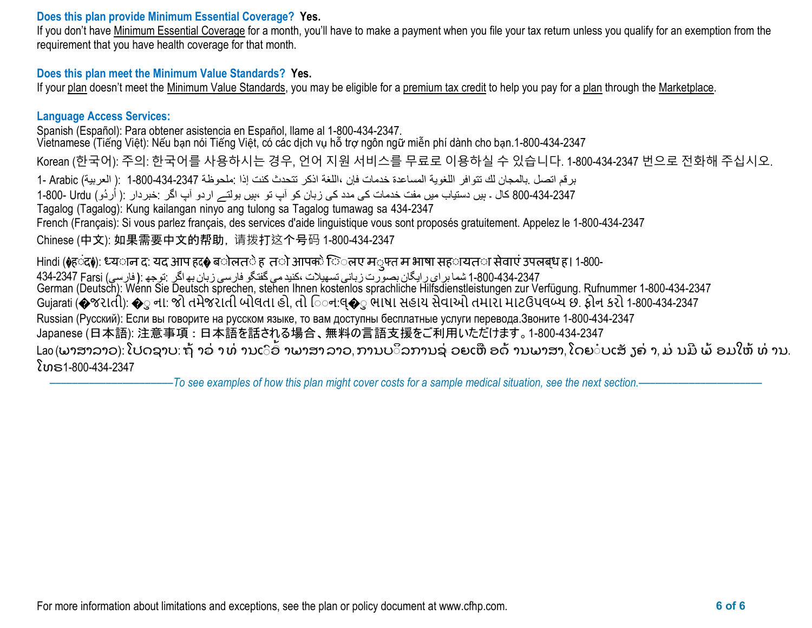### **Does this plan provide Minimum Essential Coverage? Yes.**

If you don't have [Minimum Essential Coverage](https://www.healthcare.gov/sbc-glossary/#minimum-essential-coverage) for a month, you'll have to make a payment when you file your tax return unless you qualify for an exemption from the requirement that you have health coverage for that month.

### **Does this plan meet the Minimum Value Standards? Yes.**

If your [plan](https://www.healthcare.gov/sbc-glossary/#plan) doesn't meet the [Minimum Value Standards, y](https://www.healthcare.gov/sbc-glossary/#minimum-value-standard)ou may be eligible for a [premium tax credit](https://www.healthcare.gov/sbc-glossary/#premium-tax-credits) to help you pay for a [plan](https://www.healthcare.gov/sbc-glossary/#plan) through the [Marketplace.](https://www.healthcare.gov/sbc-glossary/#marketplace)

### **Language Access Services:**

Spanish (Español): Para obtener asistencia en Español, llame al 1-800-434-2347.

Vietnamese (Tiếng Việt): Nếu bạn nói Tiếng Việt, có các dịch vụ hỗ trợ ngôn ngữ miễn phí dành cho bạn.1-800-434-2347

Korean (한국어): 주의: 한국어를 사용하시는 경우, 언어 지원 서비스를 무료로 이용하실 수 있습니다. 1-800-434-2347 번으로 전화해 주십시오.

برقم اتصل .بالمجان لك تتوافر اللغویة المساعدة خدمات فإن ،اللغة اذكر تتحدث كنت إذا :ملحوظة 1-800-434-2347 :( العربیة) Arabic 1-

ُردُو) Urdu 1-800- 800-434-2347 کال ۔ ہیں دستیاب میں مفت خدمات کی مدد کی زبان کو آپ تو ،ہیں بولتے اردو آپ اگر :خبردار :( ا

Tagalog (Tagalog): Kung kailangan ninyo ang tulong sa Tagalog tumawag sa 434-2347

French (Français): Si vous parlez français, des services d'aide linguistique vous sont proposés gratuitement. Appelez le 1-800-434-2347

Chinese (中文): 如果需要中文的帮助,请拨打这个号码 1-800-434-2347

Hindi (�हंद♦): ध्यान द: यद आप हद� बोलते ह तो आपको िलए म*्फ्त म भाषा सह*ायता सेवाएं उपलब्ध ह। 1-800-1-800-434-2347 شما برای رایگان بصورت زبانی تسھیلات ،کنیدمی گفتگو فارسی زبان بھاگر :توجھ :**(** فارسی) Farsi 434-2347 German (Deutsch): Wénn Sie Deutsch sprechen, stehen Ihnen kostenlos sprachliche Hilfsdienstleistungen zur Verfügung. Rufnummer 1-800-434-2347 Gujarati (�જરાતી): �ુ ના: જો તમેજરાતી બોલતા હો, તો િઃન:લ્�ુ ભાષા સહાય સેવાઓ તમારા માટઉપલબ્ધ છે. ફોન કરો 1-800-434-2347 Russian (Русский): Если вы говорите на русском языке, то вам доступны бесплатные услуги перевода.Звоните 1-800-434-2347 Japanese (日本語): 注意事項:日本語を話される場合、無料の言語支援をご利用いただけます。1-800-434-2347 Lao(ພາສາລາວ): ໂປດຊາບ: ຖ້ າວ່ າ ທ່ ານເົອົ າພາສາ ລາວ, ການບິລການຊ່ ວຍເຫືອດ້ ານພາສາ, ໂດຍ ບເສັ ງຄ່ າ, ມ່ ນມີ ພ້ ອມໃຫ້ ທ່ ານ.<br>-ໂທຣ1-800-434-2347

–To see examples of how this plan might cover costs for a sample medical situation, see the next section.–